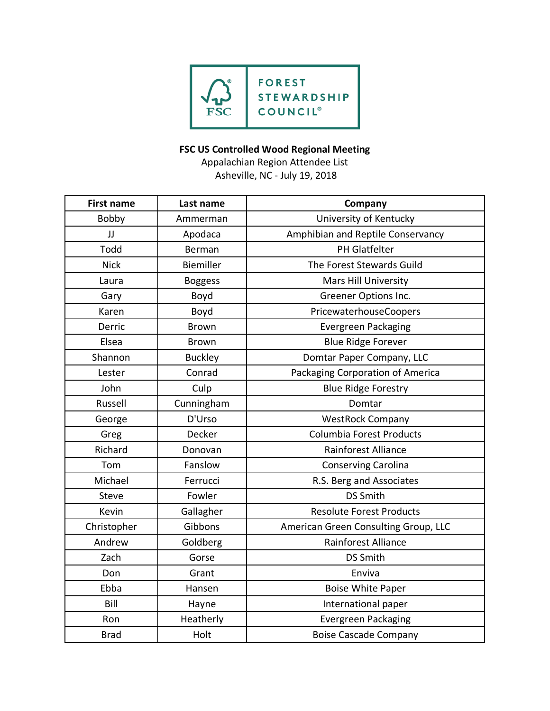

## **FSC US Controlled Wood Regional Meeting**

Appalachian Region Attendee List Asheville, NC - July 19, 2018

| <b>First name</b> | Last name        | Company                              |
|-------------------|------------------|--------------------------------------|
| Bobby             | Ammerman         | University of Kentucky               |
| JJ                | Apodaca          | Amphibian and Reptile Conservancy    |
| Todd              | Berman           | PH Glatfelter                        |
| <b>Nick</b>       | <b>Biemiller</b> | The Forest Stewards Guild            |
| Laura             | <b>Boggess</b>   | <b>Mars Hill University</b>          |
| Gary              | Boyd             | Greener Options Inc.                 |
| Karen             | Boyd             | PricewaterhouseCoopers               |
| Derric            | <b>Brown</b>     | <b>Evergreen Packaging</b>           |
| Elsea             | <b>Brown</b>     | <b>Blue Ridge Forever</b>            |
| Shannon           | <b>Buckley</b>   | Domtar Paper Company, LLC            |
| Lester            | Conrad           | Packaging Corporation of America     |
| John              | Culp             | <b>Blue Ridge Forestry</b>           |
| Russell           | Cunningham       | Domtar                               |
| George            | D'Urso           | <b>WestRock Company</b>              |
| Greg              | Decker           | Columbia Forest Products             |
| Richard           | Donovan          | <b>Rainforest Alliance</b>           |
| Tom               | Fanslow          | <b>Conserving Carolina</b>           |
| Michael           | Ferrucci         | R.S. Berg and Associates             |
| Steve             | Fowler           | <b>DS Smith</b>                      |
| Kevin             | Gallagher        | <b>Resolute Forest Products</b>      |
| Christopher       | Gibbons          | American Green Consulting Group, LLC |
| Andrew            | Goldberg         | <b>Rainforest Alliance</b>           |
| Zach              | Gorse            | <b>DS Smith</b>                      |
| Don               | Grant            | Enviva                               |
| Ebba              | Hansen           | <b>Boise White Paper</b>             |
| Bill              | Hayne            | International paper                  |
| Ron               | Heatherly        | <b>Evergreen Packaging</b>           |
| <b>Brad</b>       | Holt             | <b>Boise Cascade Company</b>         |